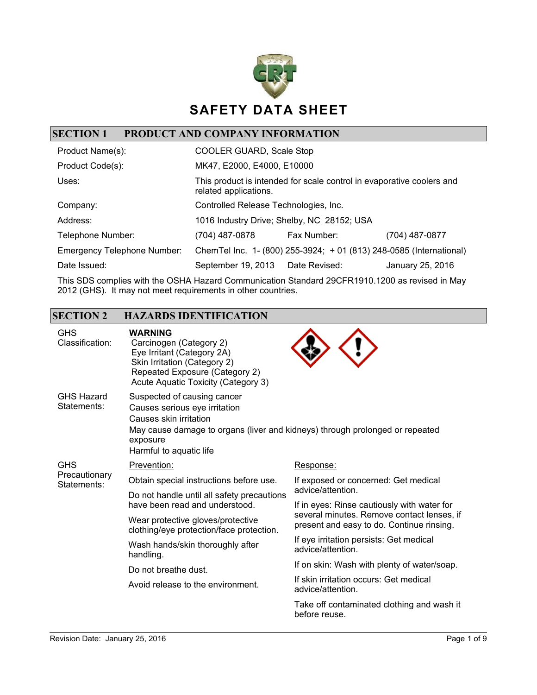

## **SECTION 1 PRODUCT AND COMPANY INFORMATION**

| Product Name(s):                   | COOLER GUARD, Scale Stop                                                                       |                                                                     |                  |
|------------------------------------|------------------------------------------------------------------------------------------------|---------------------------------------------------------------------|------------------|
| Product Code(s):                   | MK47, E2000, E4000, E10000                                                                     |                                                                     |                  |
| Uses:                              | This product is intended for scale control in evaporative coolers and<br>related applications. |                                                                     |                  |
| Company:                           | Controlled Release Technologies, Inc.                                                          |                                                                     |                  |
| Address:                           | 1016 Industry Drive; Shelby, NC 28152; USA                                                     |                                                                     |                  |
| Telephone Number:                  | (704) 487-0878                                                                                 | Fax Number:                                                         | (704) 487-0877   |
| <b>Emergency Telephone Number:</b> |                                                                                                | ChemTel Inc. 1- (800) 255-3924; + 01 (813) 248-0585 (International) |                  |
| Date Issued:                       | September 19, 2013 Date Revised:                                                               |                                                                     | January 25, 2016 |

This SDS complies with the OSHA Hazard Communication Standard 29CFR1910.1200 as revised in May 2012 (GHS). It may not meet requirements in other countries.

## **SECTION 2 HAZARDS IDENTIFICATION**

| <b>GHS</b><br>Classification:    | <b>WARNING</b><br>Carcinogen (Category 2)<br>Eye Irritant (Category 2A)<br>Skin Irritation (Category 2)<br>Repeated Exposure (Category 2)<br>Acute Aquatic Toxicity (Category 3)                              |                                                                                         |  |
|----------------------------------|---------------------------------------------------------------------------------------------------------------------------------------------------------------------------------------------------------------|-----------------------------------------------------------------------------------------|--|
| <b>GHS Hazard</b><br>Statements: | Suspected of causing cancer<br>Causes serious eye irritation<br>Causes skin irritation<br>May cause damage to organs (liver and kidneys) through prolonged or repeated<br>exposure<br>Harmful to aquatic life |                                                                                         |  |
| <b>GHS</b>                       | Prevention:                                                                                                                                                                                                   | Response:                                                                               |  |
| Precautionary<br>Statements:     | Obtain special instructions before use.                                                                                                                                                                       | If exposed or concerned: Get medical                                                    |  |
|                                  | Do not handle until all safety precautions<br>have been read and understood.                                                                                                                                  | advice/attention.<br>If in eyes: Rinse cautiously with water for                        |  |
|                                  | Wear protective gloves/protective<br>clothing/eye protection/face protection.                                                                                                                                 | several minutes. Remove contact lenses, if<br>present and easy to do. Continue rinsing. |  |
|                                  | Wash hands/skin thoroughly after<br>handling.<br>Do not breathe dust.                                                                                                                                         | If eye irritation persists: Get medical<br>advice/attention.                            |  |
|                                  |                                                                                                                                                                                                               | If on skin: Wash with plenty of water/soap.                                             |  |
|                                  | Avoid release to the environment.                                                                                                                                                                             | If skin irritation occurs: Get medical<br>advice/attention.                             |  |
|                                  |                                                                                                                                                                                                               | Take off contaminated clothing and wash it<br>before reuse.                             |  |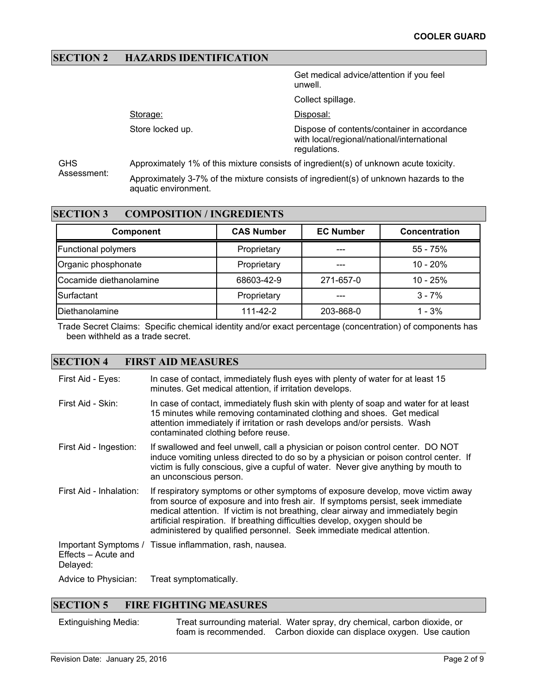### **SECTION 2 HAZARDS IDENTIFICATION**

Store locked up.

Storage:

Get medical advice/attention if you feel unwell.

Collect spillage.

Disposal:

Dispose of contents/container in accordance with local/regional/national/international regulations.

GHS Assessment: Approximately 1% of this mixture consists of ingredient(s) of unknown acute toxicity. Approximately 3-7% of the mixture consists of ingredient(s) of unknown hazards to the aquatic environment.

#### **SECTION 3 COMPOSITION / INGREDIENTS**

| <b>Component</b>           | <b>CAS Number</b> | <b>EC Number</b> | Concentration |
|----------------------------|-------------------|------------------|---------------|
| <b>Functional polymers</b> | Proprietary       |                  | $55 - 75%$    |
| Organic phosphonate        | Proprietary       |                  | $10 - 20%$    |
| Cocamide diethanolamine    | 68603-42-9        | 271-657-0        | $10 - 25%$    |
| Surfactant                 | Proprietary       |                  | $3 - 7%$      |
| Diethanolamine             | $111 - 42 - 2$    | 203-868-0        | $1 - 3%$      |

Trade Secret Claims: Specific chemical identity and/or exact percentage (concentration) of components has been withheld as a trade secret.

#### **SECTION 4 FIRST AID MEASURES**

| First Aid - Eyes:               | In case of contact, immediately flush eyes with plenty of water for at least 15<br>minutes. Get medical attention, if irritation develops.                                                                                                                                                                                                                                                                       |
|---------------------------------|------------------------------------------------------------------------------------------------------------------------------------------------------------------------------------------------------------------------------------------------------------------------------------------------------------------------------------------------------------------------------------------------------------------|
| First Aid - Skin:               | In case of contact, immediately flush skin with plenty of soap and water for at least<br>15 minutes while removing contaminated clothing and shoes. Get medical<br>attention immediately if irritation or rash develops and/or persists. Wash<br>contaminated clothing before reuse.                                                                                                                             |
| First Aid - Ingestion:          | If swallowed and feel unwell, call a physician or poison control center. DO NOT<br>induce vomiting unless directed to do so by a physician or poison control center. If<br>victim is fully conscious, give a cupful of water. Never give anything by mouth to<br>an unconscious person.                                                                                                                          |
| First Aid - Inhalation:         | If respiratory symptoms or other symptoms of exposure develop, move victim away<br>from source of exposure and into fresh air. If symptoms persist, seek immediate<br>medical attention. If victim is not breathing, clear airway and immediately begin<br>artificial respiration. If breathing difficulties develop, oxygen should be<br>administered by qualified personnel. Seek immediate medical attention. |
| Effects - Acute and<br>Delayed: | Important Symptoms / Tissue inflammation, rash, nausea.                                                                                                                                                                                                                                                                                                                                                          |
| Advice to Physician:            | Treat symptomatically.                                                                                                                                                                                                                                                                                                                                                                                           |

#### **SECTION 5 FIRE FIGHTING MEASURES**

Extinguishing Media: Treat surrounding material. Water spray, dry chemical, carbon dioxide, or foam is recommended. Carbon dioxide can displace oxygen. Use caution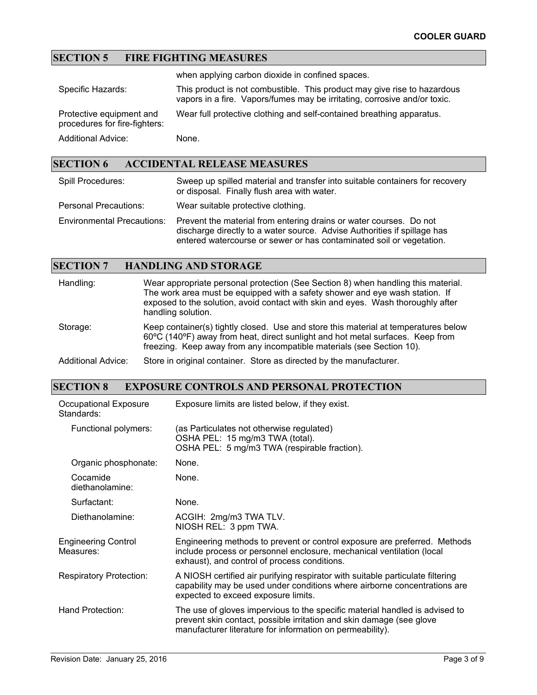## **SECTION 5 FIRE FIGHTING MEASURES**

when applying carbon dioxide in confined spaces.

| Specific Hazards:                                         | This product is not combustible. This product may give rise to hazardous<br>vapors in a fire. Vapors/fumes may be irritating, corrosive and/or toxic. |
|-----------------------------------------------------------|-------------------------------------------------------------------------------------------------------------------------------------------------------|
| Protective equipment and<br>procedures for fire-fighters: | Wear full protective clothing and self-contained breathing apparatus.                                                                                 |
| <b>Additional Advice:</b>                                 | None.                                                                                                                                                 |

## **SECTION 6 ACCIDENTAL RELEASE MEASURES**

| Spill Procedures:                 | Sweep up spilled material and transfer into suitable containers for recovery<br>or disposal. Finally flush area with water.                                                                                            |
|-----------------------------------|------------------------------------------------------------------------------------------------------------------------------------------------------------------------------------------------------------------------|
| <b>Personal Precautions:</b>      | Wear suitable protective clothing.                                                                                                                                                                                     |
| <b>Environmental Precautions:</b> | Prevent the material from entering drains or water courses. Do not<br>discharge directly to a water source. Advise Authorities if spillage has<br>entered watercourse or sewer or has contaminated soil or vegetation. |

## **SECTION 7 HANDLING AND STORAGE**

| Handling:          | Wear appropriate personal protection (See Section 8) when handling this material.<br>The work area must be equipped with a safety shower and eye wash station. If<br>exposed to the solution, avoid contact with skin and eyes. Wash thoroughly after<br>handling solution. |
|--------------------|-----------------------------------------------------------------------------------------------------------------------------------------------------------------------------------------------------------------------------------------------------------------------------|
| Storage:           | Keep container(s) tightly closed. Use and store this material at temperatures below<br>60°C (140°F) away from heat, direct sunlight and hot metal surfaces. Keep from<br>freezing. Keep away from any incompatible materials (see Section 10).                              |
| Additional Advice: | Store in original container. Store as directed by the manufacturer.                                                                                                                                                                                                         |

## **SECTION 8 EXPOSURE CONTROLS AND PERSONAL PROTECTION**

| Occupational Exposure<br>Standards:     | Exposure limits are listed below, if they exist.                                                                                                                                                                 |
|-----------------------------------------|------------------------------------------------------------------------------------------------------------------------------------------------------------------------------------------------------------------|
| Functional polymers:                    | (as Particulates not otherwise regulated)<br>OSHA PEL: 15 mg/m3 TWA (total).<br>OSHA PEL: 5 mg/m3 TWA (respirable fraction).                                                                                     |
| Organic phosphonate:                    | None.                                                                                                                                                                                                            |
| Cocamide<br>diethanolamine:             | None.                                                                                                                                                                                                            |
| Surfactant:                             | None.                                                                                                                                                                                                            |
| Diethanolamine:                         | ACGIH: 2mg/m3 TWA TLV.<br>NIOSH REL: 3 ppm TWA.                                                                                                                                                                  |
| <b>Engineering Control</b><br>Measures: | Engineering methods to prevent or control exposure are preferred. Methods<br>include process or personnel enclosure, mechanical ventilation (local<br>exhaust), and control of process conditions.               |
| <b>Respiratory Protection:</b>          | A NIOSH certified air purifying respirator with suitable particulate filtering<br>capability may be used under conditions where airborne concentrations are<br>expected to exceed exposure limits.               |
| Hand Protection:                        | The use of gloves impervious to the specific material handled is advised to<br>prevent skin contact, possible irritation and skin damage (see glove<br>manufacturer literature for information on permeability). |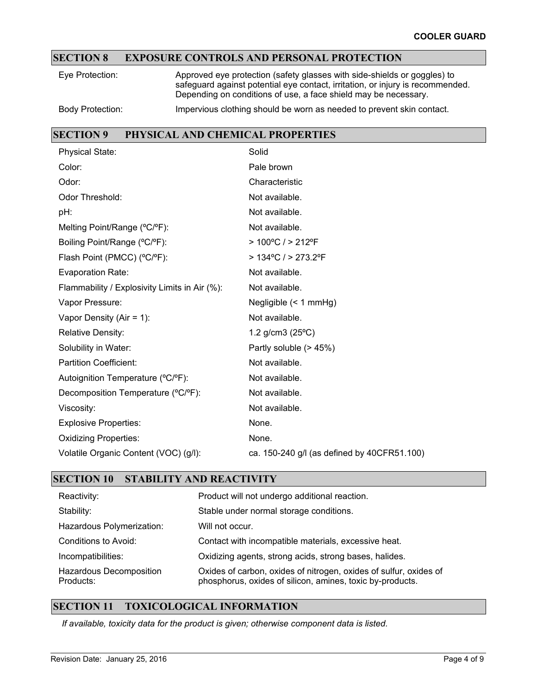## **SECTION 8 EXPOSURE CONTROLS AND PERSONAL PROTECTION**

| Eve Protection:         | Approved eye protection (safety glasses with side-shields or goggles) to<br>safeguard against potential eye contact, irritation, or injury is recommended.<br>Depending on conditions of use, a face shield may be necessary. |
|-------------------------|-------------------------------------------------------------------------------------------------------------------------------------------------------------------------------------------------------------------------------|
| <b>Body Protection:</b> | Impervious clothing should be worn as needed to prevent skin contact.                                                                                                                                                         |

### **SECTION 9 PHYSICAL AND CHEMICAL PROPERTIES**

| <b>Physical State:</b>                        | Solid                                       |
|-----------------------------------------------|---------------------------------------------|
| Color:                                        | Pale brown                                  |
| Odor:                                         | Characteristic                              |
| Odor Threshold:                               | Not available.                              |
| pH:                                           | Not available.                              |
| Melting Point/Range (°C/°F):                  | Not available.                              |
| Boiling Point/Range (°C/°F):                  | $>100^{\circ}$ C / $>212^{\circ}$ F         |
| Flash Point (PMCC) (°C/°F):                   | > 134°C / > 273.2°F                         |
| Evaporation Rate:                             | Not available.                              |
| Flammability / Explosivity Limits in Air (%): | Not available.                              |
| Vapor Pressure:                               | Negligible $(< 1$ mmHg)                     |
| Vapor Density (Air = 1):                      | Not available.                              |
| <b>Relative Density:</b>                      | 1.2 $g/cm3$ (25 $^{\circ}$ C)               |
| Solubility in Water:                          | Partly soluble (> 45%)                      |
| <b>Partition Coefficient:</b>                 | Not available.                              |
| Autoignition Temperature (°C/°F):             | Not available.                              |
| Decomposition Temperature (°C/°F):            | Not available.                              |
| Viscosity:                                    | Not available.                              |
| <b>Explosive Properties:</b>                  | None.                                       |
| <b>Oxidizing Properties:</b>                  | None.                                       |
| Volatile Organic Content (VOC) (g/l):         | ca. 150-240 g/l (as defined by 40CFR51.100) |

## **SECTION 10 STABILITY AND REACTIVITY**

| Reactivity:                          | Product will not undergo additional reaction.                                                                                  |
|--------------------------------------|--------------------------------------------------------------------------------------------------------------------------------|
| Stability:                           | Stable under normal storage conditions.                                                                                        |
| Hazardous Polymerization:            | Will not occur.                                                                                                                |
| Conditions to Avoid:                 | Contact with incompatible materials, excessive heat.                                                                           |
| Incompatibilities:                   | Oxidizing agents, strong acids, strong bases, halides.                                                                         |
| Hazardous Decomposition<br>Products: | Oxides of carbon, oxides of nitrogen, oxides of sulfur, oxides of<br>phosphorus, oxides of silicon, amines, toxic by-products. |

## **SECTION 11 TOXICOLOGICAL INFORMATION**

*If available, toxicity data for the product is given; otherwise component data is listed.*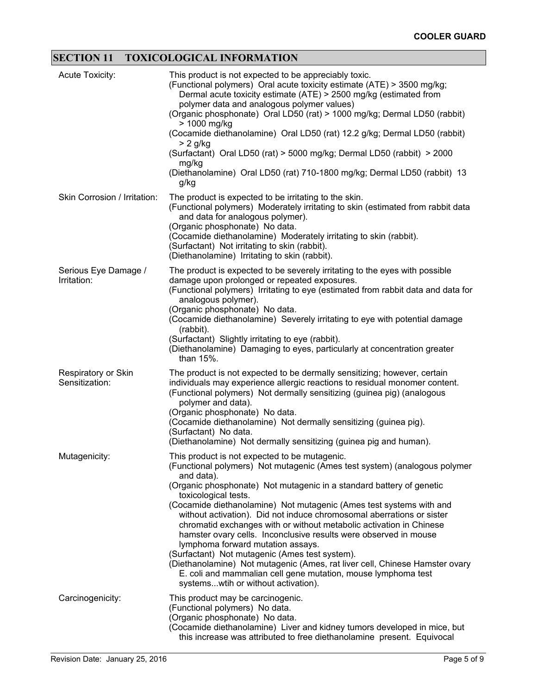# **SECTION 11 TOXICOLOGICAL INFORMATION**

| <b>Acute Toxicity:</b>                | This product is not expected to be appreciably toxic.<br>(Functional polymers) Oral acute toxicity estimate (ATE) > 3500 mg/kg;<br>Dermal acute toxicity estimate (ATE) > 2500 mg/kg (estimated from<br>polymer data and analogous polymer values)<br>(Organic phosphonate) Oral LD50 (rat) > 1000 mg/kg; Dermal LD50 (rabbit)<br>> 1000 mg/kg<br>(Cocamide diethanolamine) Oral LD50 (rat) 12.2 g/kg; Dermal LD50 (rabbit)<br>$> 2$ g/kg<br>(Surfactant) Oral LD50 (rat) > 5000 mg/kg; Dermal LD50 (rabbit) > 2000<br>mg/kg<br>(Diethanolamine) Oral LD50 (rat) 710-1800 mg/kg; Dermal LD50 (rabbit) 13<br>g/kg                                                                                                                                                                                                  |
|---------------------------------------|-------------------------------------------------------------------------------------------------------------------------------------------------------------------------------------------------------------------------------------------------------------------------------------------------------------------------------------------------------------------------------------------------------------------------------------------------------------------------------------------------------------------------------------------------------------------------------------------------------------------------------------------------------------------------------------------------------------------------------------------------------------------------------------------------------------------|
| Skin Corrosion / Irritation:          | The product is expected to be irritating to the skin.<br>(Functional polymers) Moderately irritating to skin (estimated from rabbit data<br>and data for analogous polymer).<br>(Organic phosphonate) No data.<br>(Cocamide diethanolamine) Moderately irritating to skin (rabbit).<br>(Surfactant) Not irritating to skin (rabbit).<br>(Diethanolamine) Irritating to skin (rabbit).                                                                                                                                                                                                                                                                                                                                                                                                                             |
| Serious Eye Damage /<br>Irritation:   | The product is expected to be severely irritating to the eyes with possible<br>damage upon prolonged or repeated exposures.<br>(Functional polymers) Irritating to eye (estimated from rabbit data and data for<br>analogous polymer).<br>(Organic phosphonate) No data.<br>(Cocamide diethanolamine) Severely irritating to eye with potential damage<br>(rabbit).<br>(Surfactant) Slightly irritating to eye (rabbit).<br>(Diethanolamine) Damaging to eyes, particularly at concentration greater<br>than 15%.                                                                                                                                                                                                                                                                                                 |
| Respiratory or Skin<br>Sensitization: | The product is not expected to be dermally sensitizing; however, certain<br>individuals may experience allergic reactions to residual monomer content.<br>(Functional polymers) Not dermally sensitizing (guinea pig) (analogous<br>polymer and data).<br>(Organic phosphonate) No data.<br>(Cocamide diethanolamine) Not dermally sensitizing (guinea pig).<br>(Surfactant) No data.<br>(Diethanolamine) Not dermally sensitizing (guinea pig and human).                                                                                                                                                                                                                                                                                                                                                        |
| Mutagenicity:                         | This product is not expected to be mutagenic.<br>(Functional polymers) Not mutagenic (Ames test system) (analogous polymer<br>and data).<br>(Organic phosphonate) Not mutagenic in a standard battery of genetic<br>toxicological tests.<br>(Cocamide diethanolamine) Not mutagenic (Ames test systems with and<br>without activation). Did not induce chromosomal aberrations or sister<br>chromatid exchanges with or without metabolic activation in Chinese<br>hamster ovary cells. Inconclusive results were observed in mouse<br>lymphoma forward mutation assays.<br>(Surfactant) Not mutagenic (Ames test system).<br>(Diethanolamine) Not mutagenic (Ames, rat liver cell, Chinese Hamster ovary<br>E. coli and mammalian cell gene mutation, mouse lymphoma test<br>systemswtih or without activation). |
| Carcinogenicity:                      | This product may be carcinogenic.<br>(Functional polymers) No data.<br>(Organic phosphonate) No data.<br>(Cocamide diethanolamine) Liver and kidney tumors developed in mice, but<br>this increase was attributed to free diethanolamine present. Equivocal                                                                                                                                                                                                                                                                                                                                                                                                                                                                                                                                                       |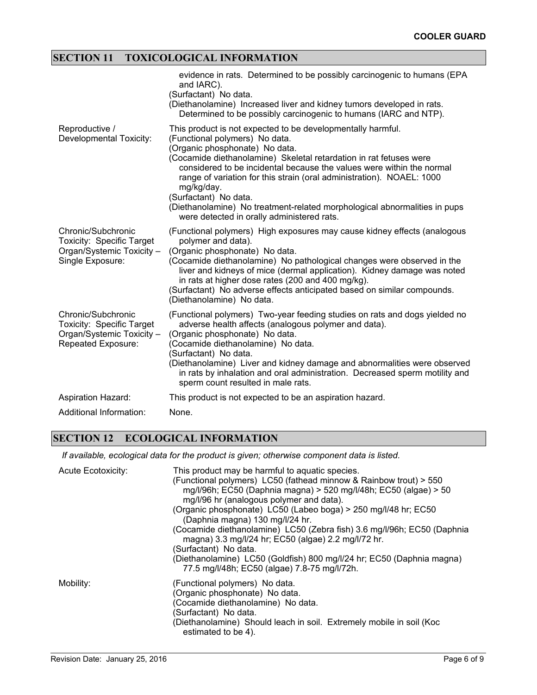## **SECTION 11 TOXICOLOGICAL INFORMATION**

|                                                                                                           | evidence in rats. Determined to be possibly carcinogenic to humans (EPA<br>and IARC).<br>(Surfactant) No data.<br>(Diethanolamine) Increased liver and kidney tumors developed in rats.<br>Determined to be possibly carcinogenic to humans (IARC and NTP).                                                                                                                                                                                                                                                               |
|-----------------------------------------------------------------------------------------------------------|---------------------------------------------------------------------------------------------------------------------------------------------------------------------------------------------------------------------------------------------------------------------------------------------------------------------------------------------------------------------------------------------------------------------------------------------------------------------------------------------------------------------------|
| Reproductive /<br>Developmental Toxicity:                                                                 | This product is not expected to be developmentally harmful.<br>(Functional polymers) No data.<br>(Organic phosphonate) No data.<br>(Cocamide diethanolamine) Skeletal retardation in rat fetuses were<br>considered to be incidental because the values were within the normal<br>range of variation for this strain (oral administration). NOAEL: 1000<br>mg/kg/day.<br>(Surfactant) No data.<br>(Diethanolamine) No treatment-related morphological abnormalities in pups<br>were detected in orally administered rats. |
| Chronic/Subchronic<br><b>Toxicity: Specific Target</b><br>Organ/Systemic Toxicity -<br>Single Exposure:   | (Functional polymers) High exposures may cause kidney effects (analogous<br>polymer and data).<br>(Organic phosphonate) No data.<br>(Cocamide diethanolamine) No pathological changes were observed in the<br>liver and kidneys of mice (dermal application). Kidney damage was noted<br>in rats at higher dose rates (200 and 400 mg/kg).<br>(Surfactant) No adverse effects anticipated based on similar compounds.<br>(Diethanolamine) No data.                                                                        |
| Chronic/Subchronic<br><b>Toxicity: Specific Target</b><br>Organ/Systemic Toxicity -<br>Repeated Exposure: | (Functional polymers) Two-year feeding studies on rats and dogs yielded no<br>adverse health affects (analogous polymer and data).<br>(Organic phosphonate) No data.<br>(Cocamide diethanolamine) No data.<br>(Surfactant) No data.<br>(Diethanolamine) Liver and kidney damage and abnormalities were observed<br>in rats by inhalation and oral administration. Decreased sperm motility and<br>sperm count resulted in male rats.                                                                                      |
| <b>Aspiration Hazard:</b>                                                                                 | This product is not expected to be an aspiration hazard.                                                                                                                                                                                                                                                                                                                                                                                                                                                                  |
| Additional Information:                                                                                   | None.                                                                                                                                                                                                                                                                                                                                                                                                                                                                                                                     |

## **SECTION 12 ECOLOGICAL INFORMATION**

*If available, ecological data for the product is given; otherwise component data is listed.*

| <b>Acute Ecotoxicity:</b> | This product may be harmful to aquatic species.<br>(Functional polymers) LC50 (fathead minnow & Rainbow trout) > 550<br>mg/l/96h; EC50 (Daphnia magna) > 520 mg/l/48h; EC50 (algae) > 50<br>mg/l/96 hr (analogous polymer and data).<br>(Organic phosphonate) LC50 (Labeo boga) > 250 mg/l/48 hr; EC50<br>(Daphnia magna) 130 mg/l/24 hr.<br>(Cocamide diethanolamine) LC50 (Zebra fish) 3.6 mg/l/96h; EC50 (Daphnia<br>magna) 3.3 mg/l/24 hr; EC50 (algae) 2.2 mg/l/72 hr.<br>(Surfactant) No data.<br>(Diethanolamine) LC50 (Goldfish) 800 mg/l/24 hr; EC50 (Daphnia magna)<br>77.5 mg/l/48h; EC50 (algae) 7.8-75 mg/l/72h. |
|---------------------------|-------------------------------------------------------------------------------------------------------------------------------------------------------------------------------------------------------------------------------------------------------------------------------------------------------------------------------------------------------------------------------------------------------------------------------------------------------------------------------------------------------------------------------------------------------------------------------------------------------------------------------|
| Mobility:                 | (Functional polymers) No data.<br>(Organic phosphonate) No data.<br>(Cocamide diethanolamine) No data.<br>(Surfactant) No data.<br>(Diethanolamine) Should leach in soil. Extremely mobile in soil (Koc<br>estimated to be 4).                                                                                                                                                                                                                                                                                                                                                                                                |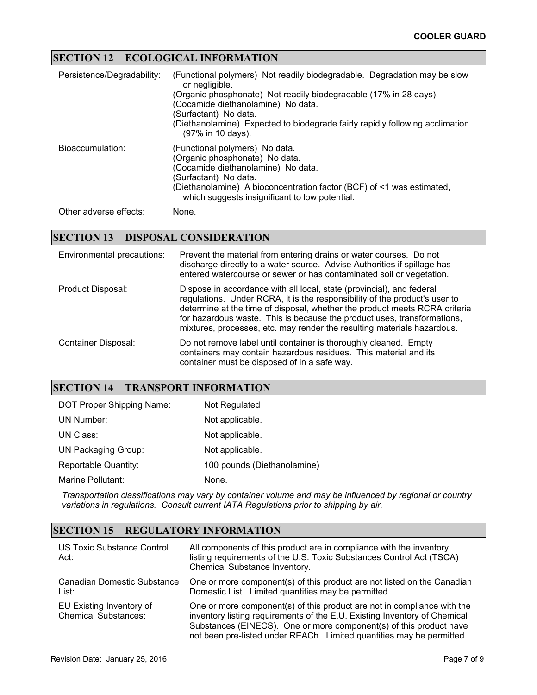## **SECTION 12 ECOLOGICAL INFORMATION**

| Persistence/Degradability: | (Functional polymers) Not readily biodegradable. Degradation may be slow<br>or negligible.<br>(Organic phosphonate) Not readily biodegradable (17% in 28 days).<br>(Cocamide diethanolamine) No data.<br>(Surfactant) No data.<br>(Diethanolamine) Expected to biodegrade fairly rapidly following acclimation<br>(97% in 10 days). |
|----------------------------|-------------------------------------------------------------------------------------------------------------------------------------------------------------------------------------------------------------------------------------------------------------------------------------------------------------------------------------|
| Bioaccumulation:           | (Functional polymers) No data.<br>(Organic phosphonate) No data.<br>(Cocamide diethanolamine) No data.<br>(Surfactant) No data.<br>(Diethanolamine) A bioconcentration factor (BCF) of <1 was estimated,<br>which suggests insignificant to low potential.                                                                          |
|                            |                                                                                                                                                                                                                                                                                                                                     |

Other adverse effects: None.

### **SECTION 13 DISPOSAL CONSIDERATION**

| Environmental precautions: | Prevent the material from entering drains or water courses. Do not<br>discharge directly to a water source. Advise Authorities if spillage has<br>entered watercourse or sewer or has contaminated soil or vegetation.                                                                                                                                                                  |
|----------------------------|-----------------------------------------------------------------------------------------------------------------------------------------------------------------------------------------------------------------------------------------------------------------------------------------------------------------------------------------------------------------------------------------|
| Product Disposal:          | Dispose in accordance with all local, state (provincial), and federal<br>regulations. Under RCRA, it is the responsibility of the product's user to<br>determine at the time of disposal, whether the product meets RCRA criteria<br>for hazardous waste. This is because the product uses, transformations,<br>mixtures, processes, etc. may render the resulting materials hazardous. |
| Container Disposal:        | Do not remove label until container is thoroughly cleaned. Empty<br>containers may contain hazardous residues. This material and its<br>container must be disposed of in a safe way.                                                                                                                                                                                                    |

#### **SECTION 14 TRANSPORT INFORMATION**

| DOT Proper Shipping Name:  | Not Regulated               |
|----------------------------|-----------------------------|
| UN Number:                 | Not applicable.             |
| UN Class:                  | Not applicable.             |
| <b>UN Packaging Group:</b> | Not applicable.             |
| Reportable Quantity:       | 100 pounds (Diethanolamine) |
| Marine Pollutant:          | None.                       |

*Transportation classifications may vary by container volume and may be influenced by regional or country variations in regulations. Consult current IATA Regulations prior to shipping by air.*

## **SECTION 15 REGULATORY INFORMATION**

| <b>US Toxic Substance Control</b><br>Act:               | All components of this product are in compliance with the inventory<br>listing requirements of the U.S. Toxic Substances Control Act (TSCA)<br>Chemical Substance Inventory.                                                                                                                        |
|---------------------------------------------------------|-----------------------------------------------------------------------------------------------------------------------------------------------------------------------------------------------------------------------------------------------------------------------------------------------------|
| Canadian Domestic Substance<br>List:                    | One or more component(s) of this product are not listed on the Canadian<br>Domestic List. Limited quantities may be permitted.                                                                                                                                                                      |
| EU Existing Inventory of<br><b>Chemical Substances:</b> | One or more component(s) of this product are not in compliance with the<br>inventory listing requirements of the E.U. Existing Inventory of Chemical<br>Substances (EINECS). One or more component(s) of this product have<br>not been pre-listed under REACh. Limited quantities may be permitted. |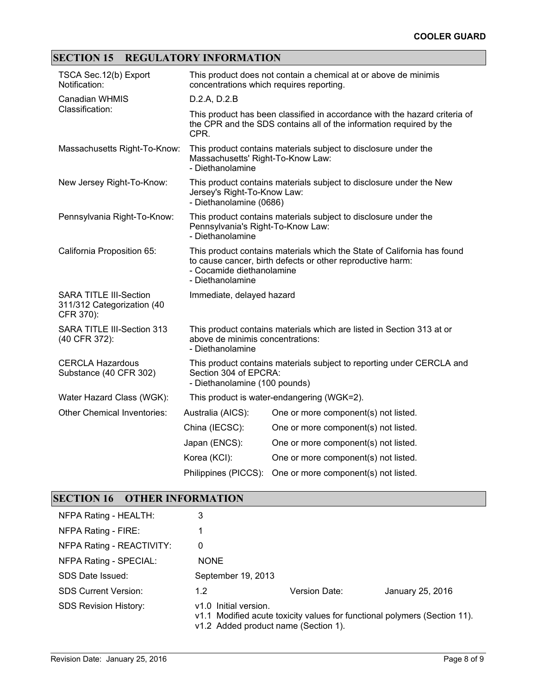# **SECTION 15 REGULATORY INFORMATION**

| TSCA Sec. 12(b) Export<br>Notification:                                  | This product does not contain a chemical at or above de minimis<br>concentrations which requires reporting.                                                                            |                                                                 |  |
|--------------------------------------------------------------------------|----------------------------------------------------------------------------------------------------------------------------------------------------------------------------------------|-----------------------------------------------------------------|--|
| <b>Canadian WHMIS</b>                                                    | D.2.A, D.2.B                                                                                                                                                                           |                                                                 |  |
| Classification:                                                          | This product has been classified in accordance with the hazard criteria of<br>the CPR and the SDS contains all of the information required by the<br>CPR.                              |                                                                 |  |
| Massachusetts Right-To-Know:                                             | Massachusetts' Right-To-Know Law:<br>- Diethanolamine                                                                                                                                  | This product contains materials subject to disclosure under the |  |
| New Jersey Right-To-Know:                                                | This product contains materials subject to disclosure under the New<br>Jersey's Right-To-Know Law:<br>- Diethanolamine (0686)                                                          |                                                                 |  |
| Pennsylvania Right-To-Know:                                              | This product contains materials subject to disclosure under the<br>Pennsylvania's Right-To-Know Law:<br>- Diethanolamine                                                               |                                                                 |  |
| California Proposition 65:                                               | This product contains materials which the State of California has found<br>to cause cancer, birth defects or other reproductive harm:<br>- Cocamide diethanolamine<br>- Diethanolamine |                                                                 |  |
| <b>SARA TITLE III-Section</b><br>311/312 Categorization (40<br>CFR 370): | Immediate, delayed hazard                                                                                                                                                              |                                                                 |  |
| SARA TITLE III-Section 313<br>(40 CFR 372):                              | This product contains materials which are listed in Section 313 at or<br>above de minimis concentrations:<br>- Diethanolamine                                                          |                                                                 |  |
| <b>CERCLA Hazardous</b><br>Substance (40 CFR 302)                        | This product contains materials subject to reporting under CERCLA and<br>Section 304 of EPCRA:<br>- Diethanolamine (100 pounds)                                                        |                                                                 |  |
| Water Hazard Class (WGK):                                                |                                                                                                                                                                                        | This product is water-endangering (WGK=2).                      |  |
| Other Chemical Inventories:                                              | Australia (AICS):                                                                                                                                                                      | One or more component(s) not listed.                            |  |
|                                                                          | China (IECSC):                                                                                                                                                                         | One or more component(s) not listed.                            |  |
|                                                                          | Japan (ENCS):                                                                                                                                                                          | One or more component(s) not listed.                            |  |
|                                                                          | Korea (KCI):                                                                                                                                                                           | One or more component(s) not listed.                            |  |
|                                                                          | Philippines (PICCS):                                                                                                                                                                   | One or more component(s) not listed.                            |  |

## **SECTION 16 OTHER INFORMATION**

| NFPA Rating - HEALTH:        | 3                                                                                                                                          |               |                  |
|------------------------------|--------------------------------------------------------------------------------------------------------------------------------------------|---------------|------------------|
| NFPA Rating - FIRE:          |                                                                                                                                            |               |                  |
| NFPA Rating - REACTIVITY:    | 0                                                                                                                                          |               |                  |
| NFPA Rating - SPECIAL:       | <b>NONE</b>                                                                                                                                |               |                  |
| SDS Date Issued:             | September 19, 2013                                                                                                                         |               |                  |
| <b>SDS Current Version:</b>  | 1.2                                                                                                                                        | Version Date: | January 25, 2016 |
| <b>SDS Revision History:</b> | v1.0 Initial version.<br>v1.1 Modified acute toxicity values for functional polymers (Section 11).<br>v1.2 Added product name (Section 1). |               |                  |